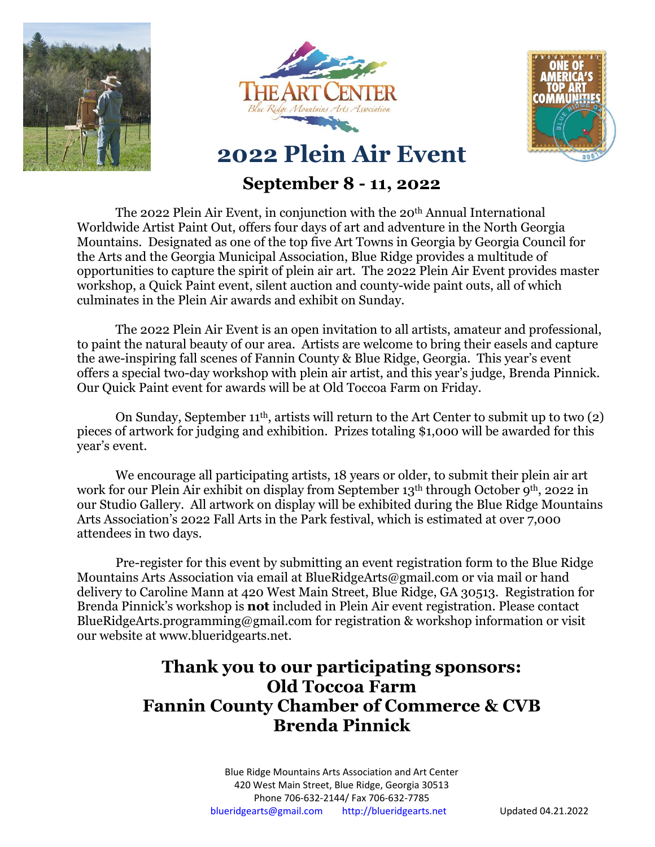





## **September 8 - 11, 2022**

The 2022 Plein Air Event, in conjunction with the 20th Annual International Worldwide Artist Paint Out, offers four days of art and adventure in the North Georgia Mountains. Designated as one of the top five Art Towns in Georgia by Georgia Council for the Arts and the Georgia Municipal Association, Blue Ridge provides a multitude of opportunities to capture the spirit of plein air art. The 2022 Plein Air Event provides master workshop, a Quick Paint event, silent auction and county-wide paint outs, all of which culminates in the Plein Air awards and exhibit on Sunday.

The 2022 Plein Air Event is an open invitation to all artists, amateur and professional, to paint the natural beauty of our area. Artists are welcome to bring their easels and capture the awe-inspiring fall scenes of Fannin County & Blue Ridge, Georgia. This year's event offers a special two-day workshop with plein air artist, and this year's judge, Brenda Pinnick. Our Quick Paint event for awards will be at Old Toccoa Farm on Friday.

On Sunday, September 11<sup>th</sup>, artists will return to the Art Center to submit up to two (2) pieces of artwork for judging and exhibition. Prizes totaling \$1,000 will be awarded for this year's event.

We encourage all participating artists, 18 years or older, to submit their plein air art work for our Plein Air exhibit on display from September 13<sup>th</sup> through October 9<sup>th</sup>, 2022 in our Studio Gallery. All artwork on display will be exhibited during the Blue Ridge Mountains Arts Association's 2022 Fall Arts in the Park festival, which is estimated at over 7,000 attendees in two days.

Pre-register for this event by submitting an event registration form to the Blue Ridge Mountains Arts Association via email at [BlueRidgeArts@gmail.com](mailto:BlueRidgeArts@gmail.com) or via mail or hand delivery to Caroline Mann at 420 West Main Street, Blue Ridge, GA 30513. Registration for Brenda Pinnick's workshop is **not** included in Plein Air event registration. Please contact BlueRidgeArts.programming@gmail.com for registration & workshop information or visit our website at www.blueridgearts.net.

# **Thank you to our participating sponsors: Old Toccoa Farm Fannin County Chamber of Commerce & CVB Brenda Pinnick**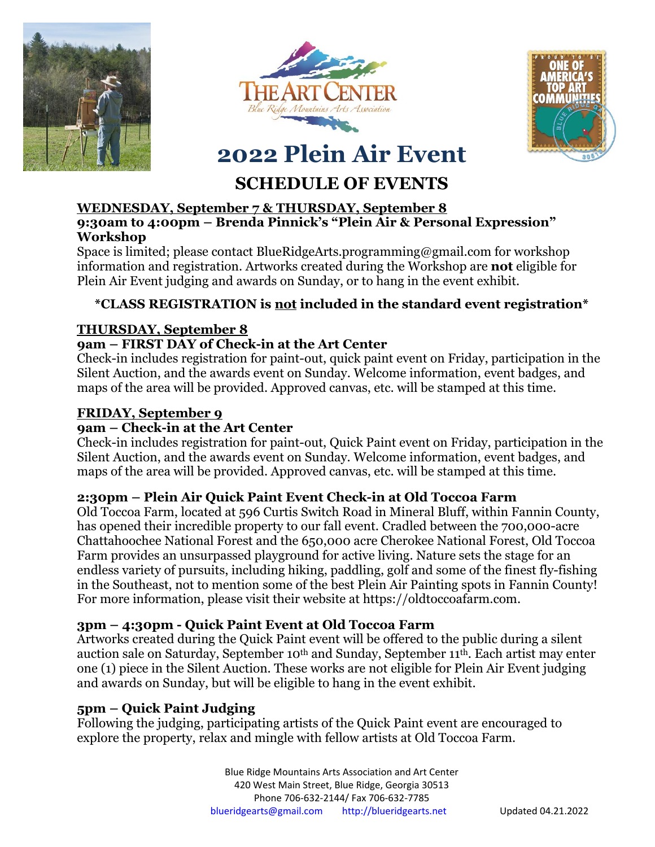





# **SCHEDULE OF EVENTS**

#### **WEDNESDAY, September 7 & THURSDAY, September 8 9:30am to 4:00pm – Brenda Pinnick's "Plein Air & Personal Expression" Workshop**

Space is limited; please contact BlueRidgeArts.programming@gmail.com for workshop information and registration. Artworks created during the Workshop are **not** eligible for Plein Air Event judging and awards on Sunday, or to hang in the event exhibit.

### **\*CLASS REGISTRATION is not included in the standard event registration\***

#### **THURSDAY, September 8**

#### **9am – FIRST DAY of Check-in at the Art Center**

Check-in includes registration for paint-out, quick paint event on Friday, participation in the Silent Auction, and the awards event on Sunday. Welcome information, event badges, and maps of the area will be provided. Approved canvas, etc. will be stamped at this time.

#### **FRIDAY, September 9**

#### **9am – Check-in at the Art Center**

Check-in includes registration for paint-out, Quick Paint event on Friday, participation in the Silent Auction, and the awards event on Sunday. Welcome information, event badges, and maps of the area will be provided. Approved canvas, etc. will be stamped at this time.

#### **2:30pm – Plein Air Quick Paint Event Check-in at Old Toccoa Farm**

Old Toccoa Farm, located at 596 Curtis Switch Road in Mineral Bluff, within Fannin County, has opened their incredible property to our fall event. Cradled between the 700,000-acre Chattahoochee National Forest and the 650,000 acre Cherokee National Forest, Old Toccoa Farm provides an unsurpassed playground for active living. Nature sets the stage for an endless variety of pursuits, including hiking, paddling, golf and some of the finest fly-fishing in the Southeast, not to mention some of the best Plein Air Painting spots in Fannin County! For more information, please visit their website at https://oldtoccoafarm.com.

#### **3pm – 4:30pm - Quick Paint Event at Old Toccoa Farm**

Artworks created during the Quick Paint event will be offered to the public during a silent auction sale on Saturday, September 10<sup>th</sup> and Sunday, September 11<sup>th</sup>. Each artist may enter one (1) piece in the Silent Auction. These works are not eligible for Plein Air Event judging and awards on Sunday, but will be eligible to hang in the event exhibit.

#### **5pm – Quick Paint Judging**

Following the judging, participating artists of the Quick Paint event are encouraged to explore the property, relax and mingle with fellow artists at Old Toccoa Farm.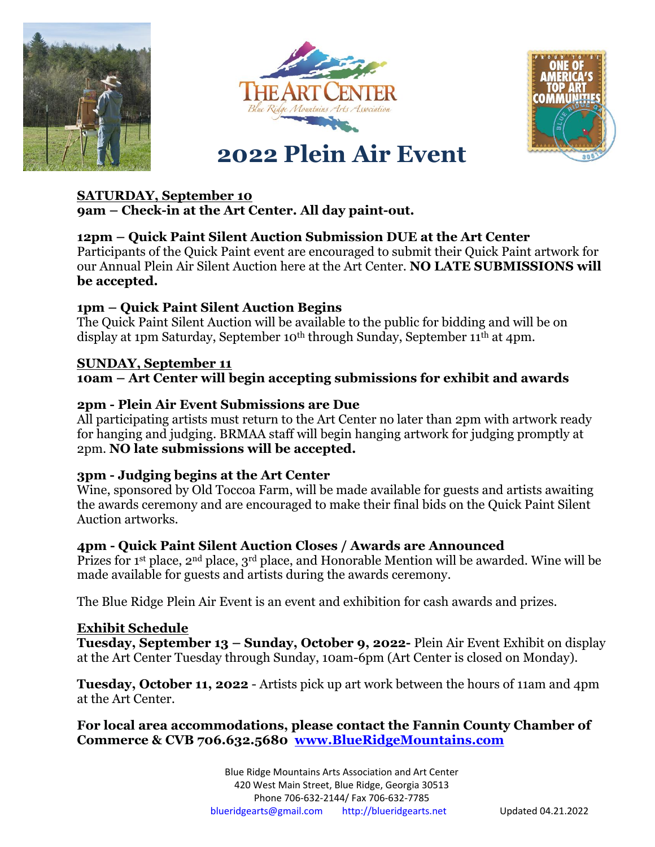





#### **SATURDAY, September 10**

**9am – Check-in at the Art Center. All day paint-out.**

#### **12pm – Quick Paint Silent Auction Submission DUE at the Art Center**

Participants of the Quick Paint event are encouraged to submit their Quick Paint artwork for our Annual Plein Air Silent Auction here at the Art Center. **NO LATE SUBMISSIONS will be accepted.** 

#### **1pm – Quick Paint Silent Auction Begins**

The Quick Paint Silent Auction will be available to the public for bidding and will be on display at 1pm Saturday, September 10<sup>th</sup> through Sunday, September 11<sup>th</sup> at 4pm.

#### **SUNDAY, September 11 10am – Art Center will begin accepting submissions for exhibit and awards**

#### **2pm - Plein Air Event Submissions are Due**

All participating artists must return to the Art Center no later than 2pm with artwork ready for hanging and judging. BRMAA staff will begin hanging artwork for judging promptly at 2pm. **NO late submissions will be accepted.**

#### **3pm - Judging begins at the Art Center**

Wine, sponsored by Old Toccoa Farm, will be made available for guests and artists awaiting the awards ceremony and are encouraged to make their final bids on the Quick Paint Silent Auction artworks.

#### **4pm - Quick Paint Silent Auction Closes / Awards are Announced**

Prizes for 1<sup>st</sup> place, 2<sup>nd</sup> place, 3<sup>rd</sup> place, and Honorable Mention will be awarded. Wine will be made available for guests and artists during the awards ceremony.

The Blue Ridge Plein Air Event is an event and exhibition for cash awards and prizes.

#### **Exhibit Schedule**

**Tuesday, September 13 – Sunday, October 9, 2022-** Plein Air Event Exhibit on display at the Art Center Tuesday through Sunday, 10am-6pm (Art Center is closed on Monday).

**Tuesday, October 11, 2022** - Artists pick up art work between the hours of 11am and 4pm at the Art Center.

**For local area accommodations, please contact the Fannin County Chamber of Commerce & CVB 706.632.5680 [www.BlueRidgeMountains.com](http://www.blueridgemountains.com/)**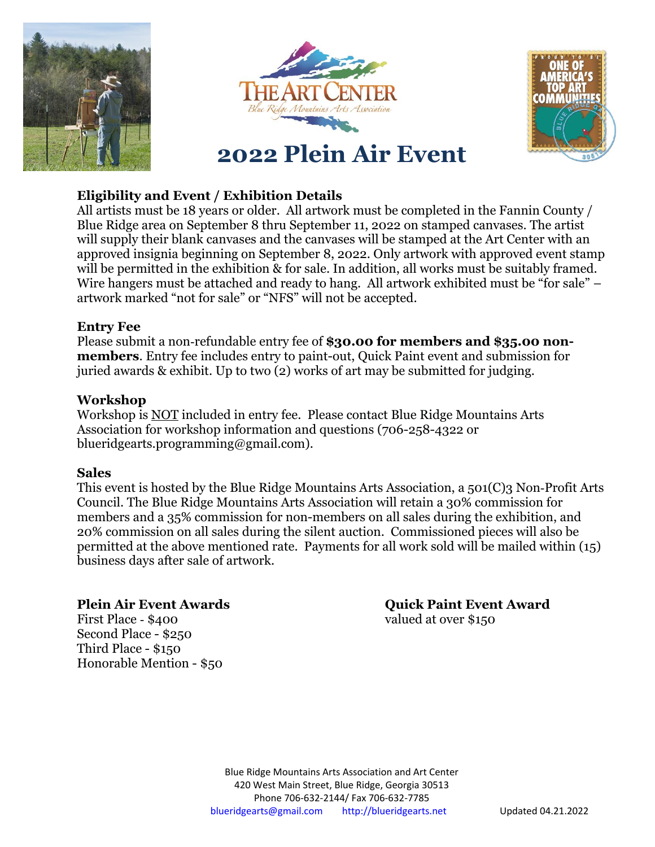





#### **Eligibility and Event / Exhibition Details**

All artists must be 18 years or older. All artwork must be completed in the Fannin County / Blue Ridge area on September 8 thru September 11, 2022 on stamped canvases. The artist will supply their blank canvases and the canvases will be stamped at the Art Center with an approved insignia beginning on September 8, 2022. Only artwork with approved event stamp will be permitted in the exhibition & for sale. In addition, all works must be suitably framed. Wire hangers must be attached and ready to hang. All artwork exhibited must be "for sale" – artwork marked "not for sale" or "NFS" will not be accepted.

#### **Entry Fee**

Please submit a non‐refundable entry fee of **\$30.00 for members and \$35.00 nonmembers**. Entry fee includes entry to paint-out, Quick Paint event and submission for juried awards & exhibit. Up to two (2) works of art may be submitted for judging.

#### **Workshop**

Workshop is NOT included in entry fee. Please contact Blue Ridge Mountains Arts Association for workshop information and questions (706-258-4322 or blueridgearts.programming@gmail.com).

#### **Sales**

This event is hosted by the Blue Ridge Mountains Arts Association, a 501(C)3 Non-Profit Arts Council. The Blue Ridge Mountains Arts Association will retain a 30% commission for members and a 35% commission for non-members on all sales during the exhibition, and 20% commission on all sales during the silent auction. Commissioned pieces will also be permitted at the above mentioned rate. Payments for all work sold will be mailed within (15) business days after sale of artwork.

First Place - \$400 valued at over \$150 Second Place - \$250 Third Place - \$150 Honorable Mention - \$50

**Plein Air Event Awards Quick Paint Event Award**